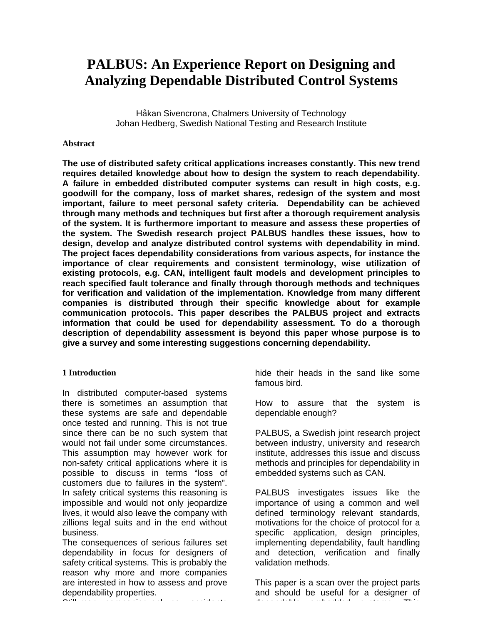# **PALBUS: An Experience Report on Designing and Analyzing Dependable Distributed Control Systems**

Håkan Sivencrona, Chalmers University of Technology Johan Hedberg, Swedish National Testing and Research Institute

#### **Abstract**

**The use of distributed safety critical applications increases constantly. This new trend requires detailed knowledge about how to design the system to reach dependability. A failure in embedded distributed computer systems can result in high costs, e.g. goodwill for the company, loss of market shares, redesign of the system and most important, failure to meet personal safety criteria. Dependability can be achieved through many methods and techniques but first after a thorough requirement analysis of the system. It is furthermore important to measure and assess these properties of the system. The Swedish research project PALBUS handles these issues, how to design, develop and analyze distributed control systems with dependability in mind. The project faces dependability considerations from various aspects, for instance the importance of clear requirements and consistent terminology, wise utilization of existing protocols, e.g. CAN, intelligent fault models and development principles to reach specified fault tolerance and finally through thorough methods and techniques for verification and validation of the implementation. Knowledge from many different companies is distributed through their specific knowledge about for example communication protocols. This paper describes the PALBUS project and extracts information that could be used for dependability assessment. To do a thorough description of dependability assessment is beyond this paper whose purpose is to give a survey and some interesting suggestions concerning dependability.**

### **1 Introduction**

In distributed computer-based systems there is sometimes an assumption that these systems are safe and dependable once tested and running. This is not true since there can be no such system that would not fail under some circumstances. This assumption may however work for non-safety critical applications where it is possible to discuss in terms "loss of customers due to failures in the system". In safety critical systems this reasoning is impossible and would not only jeopardize lives, it would also leave the company with zillions legal suits and in the end without business.

The consequences of serious failures set dependability in focus for designers of safety critical systems. This is probably the reason why more and more companies are interested in how to assess and prove dependability properties.  $\mathcal{S}$  and  $\mathcal{S}$  many companies only say, accedents on  $\mathcal{S}$  accidents on  $\mathcal{S}$ 

hide their heads in the sand like some famous bird.

How to assure that the system is dependable enough?

PALBUS, a Swedish joint research project between industry, university and research institute, addresses this issue and discuss methods and principles for dependability in embedded systems such as CAN.

PALBUS investigates issues like the importance of using a common and well defined terminology relevant standards, motivations for the choice of protocol for a specific application, design principles, implementing dependability, fault handling and detection, verification and finally validation methods.

This paper is a scan over the project parts and should be useful for a designer of dependable embedded systems. This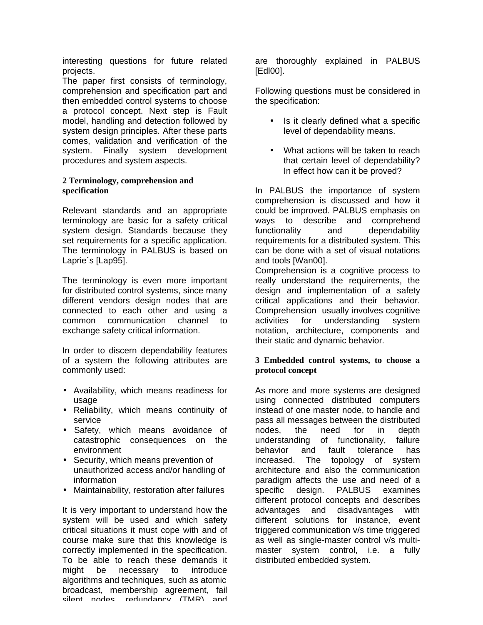interesting questions for future related projects.

The paper first consists of terminology, comprehension and specification part and then embedded control systems to choose a protocol concept. Next step is Fault model, handling and detection followed by system design principles. After these parts comes, validation and verification of the system. Finally system development procedures and system aspects.

## **2 Terminology, comprehension and specification**

Relevant standards and an appropriate terminology are basic for a safety critical system design. Standards because they set requirements for a specific application. The terminology in PALBUS is based on Laprie´s [Lap95].

The terminology is even more important for distributed control systems, since many different vendors design nodes that are connected to each other and using a common communication channel to exchange safety critical information.

In order to discern dependability features of a system the following attributes are commonly used:

- Availability, which means readiness for usage
- Reliability, which means continuity of service
- Safety, which means avoidance of catastrophic consequences on the environment
- Security, which means prevention of unauthorized access and/or handling of information
- Maintainability, restoration after failures

It is very important to understand how the system will be used and which safety critical situations it must cope with and of course make sure that this knowledge is correctly implemented in the specification. To be able to reach these demands it might be necessary to introduce algorithms and techniques, such as atomic broadcast, membership agreement, fail silent nodes, redundancy (TMR) and

are thoroughly explained in PALBUS [Edl00].

Following questions must be considered in the specification:

- Is it clearly defined what a specific level of dependability means.
- What actions will be taken to reach that certain level of dependability? In effect how can it be proved?

In PALBUS the importance of system comprehension is discussed and how it could be improved. PALBUS emphasis on ways to describe and comprehend functionality and dependability requirements for a distributed system. This can be done with a set of visual notations and tools [Wan00].

Comprehension is a cognitive process to really understand the requirements, the design and implementation of a safety critical applications and their behavior. Comprehension usually involves cognitive activities for understanding system notation, architecture, components and their static and dynamic behavior.

### **3 Embedded control systems, to choose a protocol concept**

As more and more systems are designed using connected distributed computers instead of one master node, to handle and pass all messages between the distributed nodes, the need for in depth understanding of functionality, failure behavior and fault tolerance has increased. The topology of system architecture and also the communication paradigm affects the use and need of a specific design. PALBUS examines different protocol concepts and describes advantages and disadvantages with different solutions for instance, event triggered communication v/s time triggered as well as single-master control v/s multimaster system control, i.e. a fully distributed embedded system.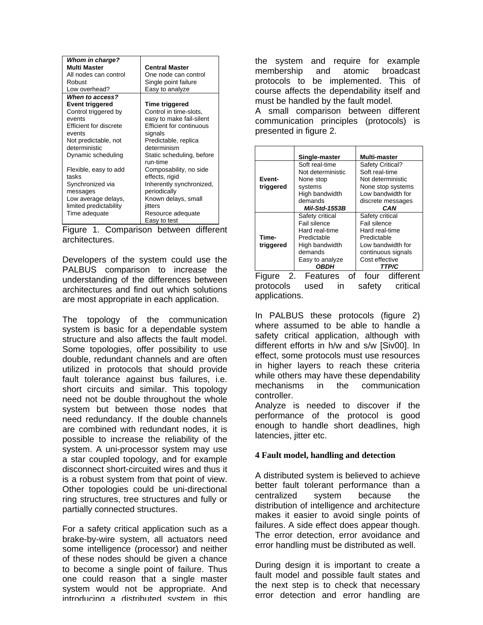| <b>Whom in charge?</b><br><b>Multi Master</b><br>All nodes can control<br>Robust<br>Low overhead? | <b>Central Master</b><br>One node can control<br>Single point failure<br>Easy to analyze |
|---------------------------------------------------------------------------------------------------|------------------------------------------------------------------------------------------|
| When to access?                                                                                   |                                                                                          |
| Event triggered                                                                                   | Time triggered                                                                           |
| Control triggered by                                                                              | Control in time-slots,                                                                   |
| events                                                                                            | easy to make fail-silent                                                                 |
| Efficient for discrete                                                                            | Efficient for continuous                                                                 |
| events                                                                                            | signals                                                                                  |
| Not predictable, not                                                                              | Predictable, replica                                                                     |
| deterministic                                                                                     | determinism                                                                              |
| Dynamic scheduling                                                                                | Static scheduling, before<br>run-time                                                    |
| Flexible, easy to add                                                                             | Composability, no side                                                                   |
| tasks                                                                                             | effects, rigid                                                                           |
| Synchronized via                                                                                  | Inherently synchronized,                                                                 |
| messages                                                                                          | periodically                                                                             |
| Low average delays,                                                                               | Known delays, small                                                                      |
| limited predictability                                                                            | jitters                                                                                  |
| Time adequate                                                                                     | Resource adequate                                                                        |
|                                                                                                   | Easy to test                                                                             |

Figure 1. Comparison between different architectures.

Developers of the system could use the PALBUS comparison to increase the understanding of the differences between architectures and find out which solutions are most appropriate in each application.

The topology of the communication system is basic for a dependable system structure and also affects the fault model. Some topologies, offer possibility to use double, redundant channels and are often utilized in protocols that should provide fault tolerance against bus failures, i.e. short circuits and similar. This topology need not be double throughout the whole system but between those nodes that need redundancy. If the double channels are combined with redundant nodes, it is possible to increase the reliability of the system. A uni-processor system may use a star coupled topology, and for example disconnect short-circuited wires and thus it is a robust system from that point of view. Other topologies could be uni-directional ring structures, tree structures and fully or partially connected structures.

For a safety critical application such as a brake-by-wire system, all actuators need some intelligence (processor) and neither of these nodes should be given a chance to become a single point of failure. Thus one could reason that a single master system would not be appropriate. And introducing a distributed system in this

the system and require for example membership and atomic broadcast protocols to be implemented. This of course affects the dependability itself and must be handled by the fault model.

A small comparison between different communication principles (protocols) is presented in figure 2.

|                    | Single-master                                                                                                                          | Multi-master                                                                                                                                         |
|--------------------|----------------------------------------------------------------------------------------------------------------------------------------|------------------------------------------------------------------------------------------------------------------------------------------------------|
| Event-             | Soft real-time<br>Not deterministic<br>None stop                                                                                       | Safety Critical?<br>Soft real-time<br>Not deterministic                                                                                              |
| triggered          | systems<br>High bandwidth<br>demands<br><b>Mil-Std-1553B</b>                                                                           | None stop systems<br>Low bandwidth for<br>discrete messages<br>CAN                                                                                   |
| Time-<br>triggered | Safety critical<br>Fail silence<br>Hard real-time<br>Predictable<br>High bandwidth<br>demands<br>Easy to analyze<br><i><b>OBDH</b></i> | Safety critical<br>Fail silence<br>Hard real-time<br>Predictable<br>Low bandwidth for<br>continuous signals<br>Cost effective<br><i><b>TTP/C</b></i> |

Figure 2. Features of four different protocols used in safety critical applications.

In PALBUS these protocols (figure 2) where assumed to be able to handle a safety critical application, although with different efforts in h/w and s/w [Siv00]. In effect, some protocols must use resources in higher layers to reach these criteria while others may have these dependability mechanisms in the communication controller.

Analyze is needed to discover if the performance of the protocol is good enough to handle short deadlines, high latencies, jitter etc.

### **4 Fault model, handling and detection**

A distributed system is believed to achieve better fault tolerant performance than a centralized system because the distribution of intelligence and architecture makes it easier to avoid single points of failures. A side effect does appear though. The error detection, error avoidance and error handling must be distributed as well.

During design it is important to create a fault model and possible fault states and the next step is to check that necessary error detection and error handling are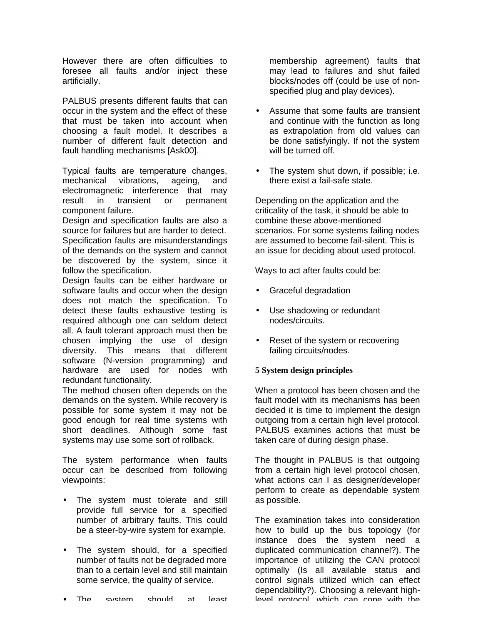However there are often difficulties to foresee all faults and/or inject these artificially.

PALBUS presents different faults that can occur in the system and the effect of these that must be taken into account when choosing a fault model. It describes a number of different fault detection and fault handling mechanisms [Ask00].

Typical faults are temperature changes, mechanical vibrations, ageing, and electromagnetic interference that may result in transient or permanent component failure.

Design and specification faults are also a source for failures but are harder to detect. Specification faults are misunderstandings of the demands on the system and cannot be discovered by the system, since it follow the specification.

Design faults can be either hardware or software faults and occur when the design does not match the specification. To detect these faults exhaustive testing is required although one can seldom detect all. A fault tolerant approach must then be chosen implying the use of design diversity. This means that different software (N-version programming) and hardware are used for nodes with redundant functionality.

The method chosen often depends on the demands on the system. While recovery is possible for some system it may not be good enough for real time systems with short deadlines. Although some fast systems may use some sort of rollback.

The system performance when faults occur can be described from following viewpoints:

- The system must tolerate and still provide full service for a specified number of arbitrary faults. This could be a steer-by-wire system for example.
- The system should, for a specified number of faults not be degraded more than to a certain level and still maintain some service, the quality of service.

membership agreement) faults that may lead to failures and shut failed blocks/nodes off (could be use of nonspecified plug and play devices).

- Assume that some faults are transient and continue with the function as long as extrapolation from old values can be done satisfyingly. If not the system will be turned off.
- The system shut down, if possible; i.e. there exist a fail-safe state.

Depending on the application and the criticality of the task, it should be able to combine these above-mentioned scenarios. For some systems failing nodes are assumed to become fail-silent. This is an issue for deciding about used protocol.

Ways to act after faults could be:

- Graceful degradation
- Use shadowing or redundant nodes/circuits.
- Reset of the system or recovering failing circuits/nodes.

### **5 System design principles**

When a protocol has been chosen and the fault model with its mechanisms has been decided it is time to implement the design outgoing from a certain high level protocol. PALBUS examines actions that must be taken care of during design phase.

The thought in PALBUS is that outgoing from a certain high level protocol chosen, what actions can I as designer/developer perform to create as dependable system as possible.

The examination takes into consideration how to build up the bus topology (for instance does the system need a duplicated communication channel?). The importance of utilizing the CAN protocol optimally (Is all available status and control signals utilized which can effect dependability?). Choosing a relevant highlevel protocol, which can cope with the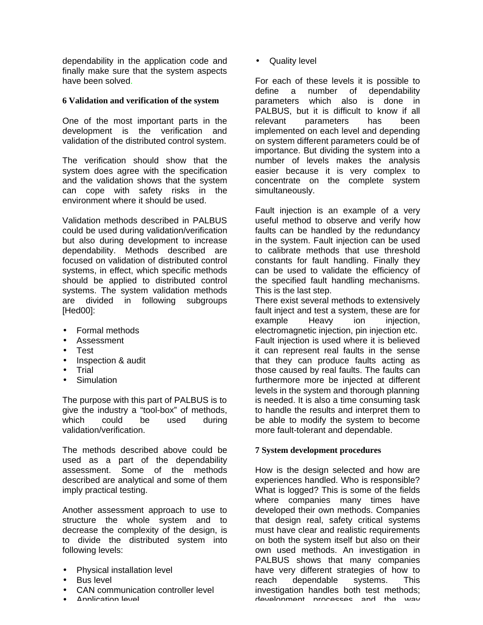dependability in the application code and finally make sure that the system aspects have been solved.

## **6 Validation and verification of the system**

One of the most important parts in the development is the verification and validation of the distributed control system.

The verification should show that the system does agree with the specification and the validation shows that the system can cope with safety risks in the environment where it should be used.

Validation methods described in PALBUS could be used during validation/verification but also during development to increase dependability. Methods described are focused on validation of distributed control systems, in effect, which specific methods should be applied to distributed control systems. The system validation methods are divided in following subgroups [Hed00]:

- Formal methods
- Assessment
- Test
- Inspection & audit
- **Trial**
- **Simulation**

The purpose with this part of PALBUS is to give the industry a "tool-box" of methods, which could be used during validation/verification.

The methods described above could be used as a part of the dependability assessment. Some of the methods described are analytical and some of them imply practical testing.

Another assessment approach to use to structure the whole system and to decrease the complexity of the design, is to divide the distributed system into following levels:

- Physical installation level
- Bus level
- CAN communication controller level
- Application level

• Quality level

For each of these levels it is possible to define a number of dependability parameters which also is done in PALBUS, but it is difficult to know if all relevant parameters has been implemented on each level and depending on system different parameters could be of importance. But dividing the system into a number of levels makes the analysis easier because it is very complex to concentrate on the complete system simultaneously.

Fault injection is an example of a very useful method to observe and verify how faults can be handled by the redundancy in the system. Fault injection can be used to calibrate methods that use threshold constants for fault handling. Finally they can be used to validate the efficiency of the specified fault handling mechanisms. This is the last step.

There exist several methods to extensively fault inject and test a system, these are for example Heavy ion injection, electromagnetic injection, pin injection etc. Fault injection is used where it is believed it can represent real faults in the sense that they can produce faults acting as those caused by real faults. The faults can furthermore more be injected at different levels in the system and thorough planning is needed. It is also a time consuming task to handle the results and interpret them to be able to modify the system to become more fault-tolerant and dependable.

### **7 System development procedures**

How is the design selected and how are experiences handled. Who is responsible? What is logged? This is some of the fields where companies many times have developed their own methods. Companies that design real, safety critical systems must have clear and realistic requirements on both the system itself but also on their own used methods. An investigation in PALBUS shows that many companies have very different strategies of how to reach dependable systems. This investigation handles both test methods; development processes and the way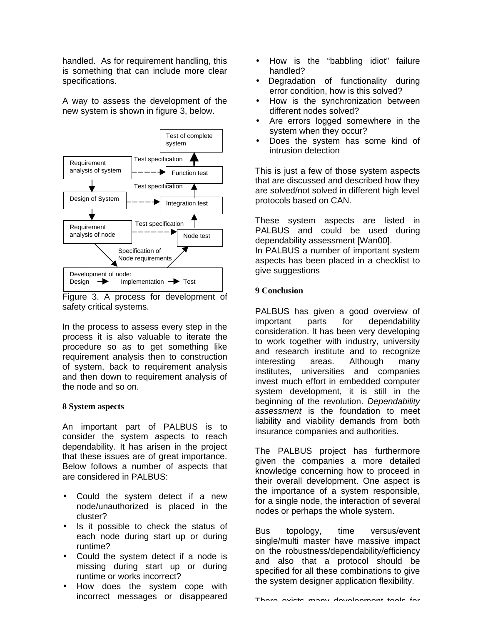handled. As for requirement handling, this is something that can include more clear specifications.

A way to assess the development of the new system is shown in figure 3, below.



Figure 3. A process for development of safety critical systems.

In the process to assess every step in the process it is also valuable to iterate the procedure so as to get something like requirement analysis then to construction of system, back to requirement analysis and then down to requirement analysis of the node and so on.

### **8 System aspects**

An important part of PALBUS is to consider the system aspects to reach dependability. It has arisen in the project that these issues are of great importance. Below follows a number of aspects that are considered in PALBUS:

- Could the system detect if a new node/unauthorized is placed in the cluster?
- Is it possible to check the status of each node during start up or during runtime?
- Could the system detect if a node is missing during start up or during runtime or works incorrect?
- How does the system cope with incorrect messages or disappeared
- How is the "babbling idiot" failure handled?
- Degradation of functionality during error condition, how is this solved?
- How is the synchronization between different nodes solved?
- Are errors logged somewhere in the system when they occur?
- Does the system has some kind of intrusion detection

This is just a few of those system aspects that are discussed and described how they are solved/not solved in different high level protocols based on CAN.

These system aspects are listed in PALBUS and could be used during dependability assessment [Wan00].

In PALBUS a number of important system aspects has been placed in a checklist to give suggestions

## **9 Conclusion**

PALBUS has given a good overview of important parts for dependability consideration. It has been very developing to work together with industry, university and research institute and to recognize interesting areas. Although many institutes, universities and companies invest much effort in embedded computer system development, it is still in the beginning of the revolution. *Dependability assessment* is the foundation to meet liability and viability demands from both insurance companies and authorities.

The PALBUS project has furthermore given the companies a more detailed knowledge concerning how to proceed in their overall development. One aspect is the importance of a system responsible, for a single node, the interaction of several nodes or perhaps the whole system.

Bus topology, time versus/event single/multi master have massive impact on the robustness/dependability/efficiency and also that a protocol should be specified for all these combinations to give the system designer application flexibility.